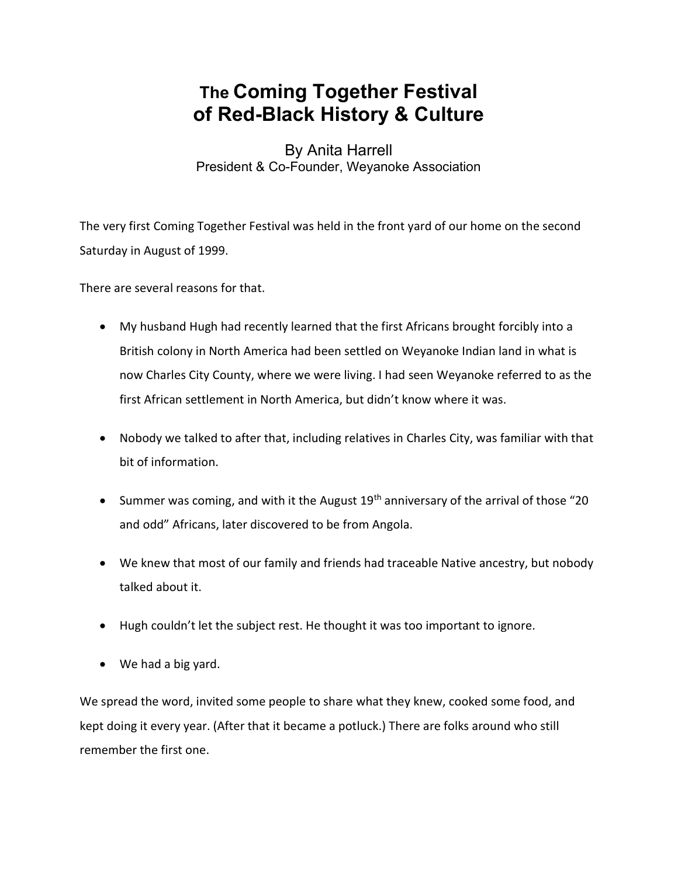## The Coming Together Festival of Red-Black History & Culture

By Anita Harrell President & Co-Founder, Weyanoke Association

The very first Coming Together Festival was held in the front yard of our home on the second Saturday in August of 1999.

There are several reasons for that.

- My husband Hugh had recently learned that the first Africans brought forcibly into a British colony in North America had been settled on Weyanoke Indian land in what is now Charles City County, where we were living. I had seen Weyanoke referred to as the first African settlement in North America, but didn't know where it was.
- Nobody we talked to after that, including relatives in Charles City, was familiar with that bit of information.
- Summer was coming, and with it the August  $19<sup>th</sup>$  anniversary of the arrival of those "20 and odd" Africans, later discovered to be from Angola.
- We knew that most of our family and friends had traceable Native ancestry, but nobody talked about it.
- Hugh couldn't let the subject rest. He thought it was too important to ignore.
- We had a big yard.

We spread the word, invited some people to share what they knew, cooked some food, and kept doing it every year. (After that it became a potluck.) There are folks around who still remember the first one.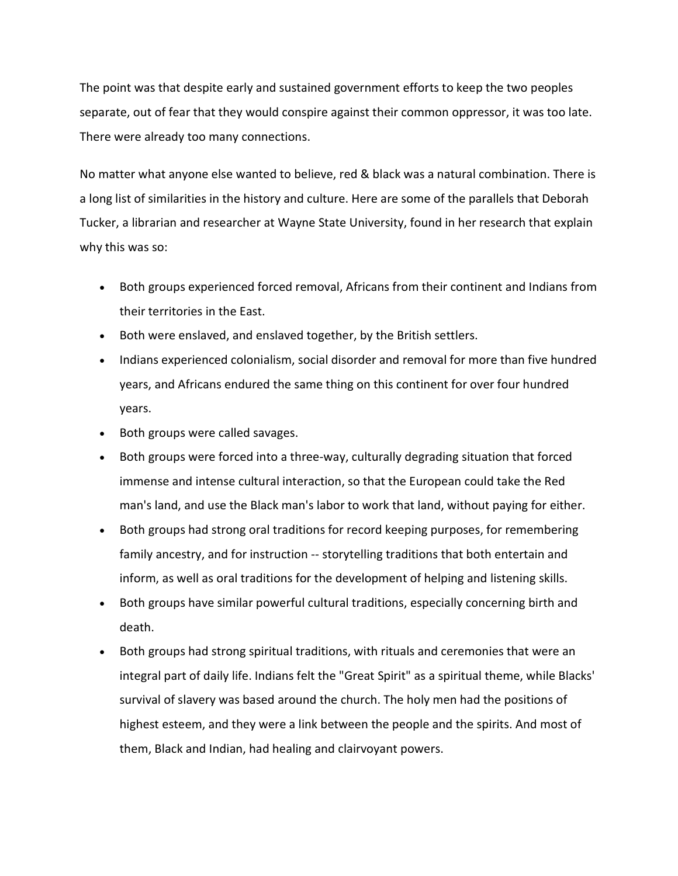The point was that despite early and sustained government efforts to keep the two peoples separate, out of fear that they would conspire against their common oppressor, it was too late. There were already too many connections.

No matter what anyone else wanted to believe, red & black was a natural combination. There is a long list of similarities in the history and culture. Here are some of the parallels that Deborah Tucker, a librarian and researcher at Wayne State University, found in her research that explain why this was so:

- Both groups experienced forced removal, Africans from their continent and Indians from their territories in the East.
- Both were enslaved, and enslaved together, by the British settlers.
- Indians experienced colonialism, social disorder and removal for more than five hundred years, and Africans endured the same thing on this continent for over four hundred years.
- Both groups were called savages.
- Both groups were forced into a three-way, culturally degrading situation that forced immense and intense cultural interaction, so that the European could take the Red man's land, and use the Black man's labor to work that land, without paying for either.
- Both groups had strong oral traditions for record keeping purposes, for remembering family ancestry, and for instruction -- storytelling traditions that both entertain and inform, as well as oral traditions for the development of helping and listening skills.
- Both groups have similar powerful cultural traditions, especially concerning birth and death.
- Both groups had strong spiritual traditions, with rituals and ceremonies that were an integral part of daily life. Indians felt the "Great Spirit" as a spiritual theme, while Blacks' survival of slavery was based around the church. The holy men had the positions of highest esteem, and they were a link between the people and the spirits. And most of them, Black and Indian, had healing and clairvoyant powers.